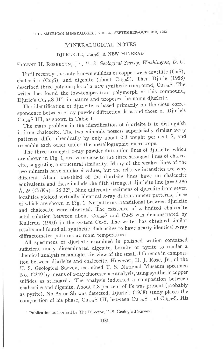## THE AMERICAN MINERALOGIST, VOL. 47, SEPTEMBER-OCTOBER, 1962

## MINERALOGICAL NOTES

## DJURLEITE, Cu<sub>1.96</sub>S, A NEW MINERAL<sup>1</sup>

# EUGENE H. ROSEBOOM, JR., U. S. Geological Survey, Washington, D. C.

Until recently the only known sulfides of copper were covellite (CuS), chalcocite (Cu<sub>2</sub>S), and digenite (about Cu<sub>1.8</sub>S). Then Djurle (1958) described three polymorphs of a new synthetic compound, Cu<sub>1.96</sub>S. The writer has found the low-temperature polymorph of this compound, Djurle's Cu<sub>1.96</sub>S III, in nature and proposes the name djurleite.

The identification of djurleite is based primarily on the close correspondence between *x*-ray powder diffraction data and those of Djurle's Cu<sub>1.96</sub>S III, as shown in Table 1.

The main problem in the identification of djurleite is to distinguish it from chalcocite. The two minerals possess superficially similar  $x$ -ray patterns, differ chemically by only about 0.3 weight per cent S, and resemble each other under the metallographic microscope.

The three strongest x-ray powder diffraction lines of djurleite, which are shown in Fig. 1, are very close to the three strongest lines of chalcocite, suggesting a structuraisimilarity. Many of the weaker lines of the two minerals have similar d-values, but the relative intensities are very difierent. About one-third of the djurleite lines have no chalcocite equivalents and these include the fifth strongest djurleite line  $d=3.386$ Å,  $2\theta$  (CuK $\alpha$ ) = 26.32°]. Nine different specimens of djurelite from seven localities yielded virtually identical  $x$ -ray diffractometer patterns, three of which are shown in Fig. 1. No patterns transitional between djurleite and, chalcocite were observed. The existence of a limited chalcocite solid solution between about Cu<sub>1.99</sub>S and Cu<sub>2</sub>S was demonstrated by Kullerud (1960) in the system cu-s. The writer has obtained similar results and found all synthetic chalcocites to have nearly identical z-ray diffractometer patterns at room temperature.

All specimens of djurleite examined in polished section contained sufficient finely disseminated digenite, bornite or pyrite to render a chemical analysis meaningless in view of the small difference in composition between djurleite and chalcocite. However, H. J. Rose, Jr., of the U. S. Geological Survey, examined U. S. National Museum specimen No. 92349 by means of  $x$ -ray fluorescence analysis, using synthetic copper sulfides as standards. The analysis indicated a composition between chalcocite and digenite. About 0.8 per cent of Fe was present (probably as pyrite). No As or Sb was detecied. Djurle's (1953) study places the composition of his phase, Cu<sub>1.96</sub>S III, between Cu<sub>1.95</sub>S and Cu<sub>1.97</sub>S. His

<sup>&</sup>lt;sup>1</sup> Publication authorized by The Director, U.S. Geological Survey.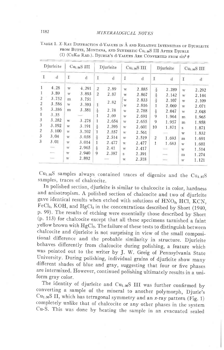### **MINERALOGICAL NOTES**

| Djurleite      |                | Cu <sub>1.96</sub> S III |       | Djurleite      |       | $Cu1.96S$ III |       | Djurleite     |              | Cu <sub>1.96</sub> S III |             |
|----------------|----------------|--------------------------|-------|----------------|-------|---------------|-------|---------------|--------------|--------------------------|-------------|
| $\mathbf I$    | $\overline{d}$ | $\mathbf I$              | d     | Ι              | d     | I             | d     | T             | $\mathbf{d}$ | I                        | $\mathbf d$ |
| 1              | 4.28           | W                        | 4.291 | $\overline{2}$ | 2.89  | W             | 2.885 | $\frac{1}{2}$ | 2.289        | W                        | 2.292       |
| 1              | 3.89           | W                        | 3.893 | $\overline{2}$ | 2.87  | W             | 2.867 | $\frac{1}{2}$ | 2.142        | W                        | 2.144       |
| 2              | 3.752          | m                        | 3.751 |                | 2.82  | W             | 2.833 | $\frac{1}{2}$ | 2.107        | W                        | 2.109       |
| 2              | 3.586          | W                        | 3.593 | $\mathbf{1}$   |       | w             | 2.816 |               | 2.069        | W                        | 2.071       |
| 5              | 3.386          | m                        | 3.381 | $\frac{1}{2}$  | 2.78  | W             | 2.788 | $\frac{1}{2}$ | 2.047        | w                        | 2.048       |
| 1              | 3.35           |                          |       |                | 2.69  | W             | 2.691 | 9             | 1.964        | m                        | 1.965       |
| 3              | 3.282          | W                        | 3.278 | 1              | 2.654 | W             | 2.655 | 9             | 1.957        | m                        | 1.958       |
| 3              | 3.192          | W                        | 3.191 | $\frac{1}{2}$  | 2.595 | W             | 2.601 | 10            | 1.871        | $\mathbf{s}$             | 1.871       |
| $\overline{2}$ | 3.100          | W                        | 3.102 | $\mathbf{1}$   | 2.557 | W             | 2.561 |               |              | W                        | 1.832       |
| 3              | 3.04           | W                        | 3.038 | $\frac{1}{2}$  | 2.514 | W             | 2.519 | 2             | 1.693        | m                        | 1.691       |
| 3              | 3.01           | W                        | 3.014 |                | 2.477 | W.            | 2.477 | $\mathbf{1}$  | 1.683        | W                        | 1.681       |
|                | $\frac{1}{2}$  | W                        | 2.965 | $\frac{1}{2}$  | 2.41  | W             | 2.417 |               |              | W                        | 1.514       |
|                | $\cdots$       | W                        | 2.940 | 9              | 2.387 | S             | 2.391 |               |              | m                        | 1.274       |
|                | $=$            | W                        | 2.892 |                |       | W             | 2.318 |               |              | W                        | 1.121       |

| TABLE 1. X-KAY DIFFRACTION G-VALUES IN A AND RELATIVE INTENSITIES OF DJURLEITE |  |
|--------------------------------------------------------------------------------|--|
| FROM BUTTE, MONTANA, AND SYNTHETIC CU <sub>1.96</sub> S III AFTER DJURLE       |  |
| (1) (CuK $\alpha$ RAD.). DJURLE's d-VALUES ARE CONVERTED FROM $\sin^2 \theta$  |  |

Cu<sub>1.95</sub>S samples always contained traces of digenite and the Cu<sub>1.97</sub>S samples, traces of chalcocite.

In polished section, djurleite is similar to chalcocite in color, hardness and anisotropism. A polished section of chalcocite and two of djurleite gave identical results when etched with solutions of HNO3, HCl, KCN, FeCl<sub>3</sub>, KOH, and HgCl<sub>3</sub> in the concentrations described by Short (1940, p. 99). The results of etching were essentially those described by Short (p. 113) for chalcocite except that all these specimens tarnished a faint yellow brown with HgCl2. The failure of these tests to distinguish between chalcocite and djurleite is not surprising in view of the small compositional difference and the probable similarity in structure. Djurleite behaves differently from chalcocite during polishing, a feature which was pointed out to the writer by J. W. Greig of Pennsylvania State University. During polishing, individual grains of djurleite show many different shades of blue and gray, suggesting that four or five phases are intermixed. However, continued polishing ultimately results in a uniform gray color.

The identity of djurleite and Cu<sub>1.96</sub>S III was further confirmed by converting a sample of the mineral to another polymorph, Djurle's  $Cu<sub>1.96</sub>S II$ , which has tetragonal symmetry and an x-ray pattern (Fig. 1) completely unlike that of chalcocite or any other phases in the system Cu-S. This was done by heating the sample in an evacuated sealed

#### 1182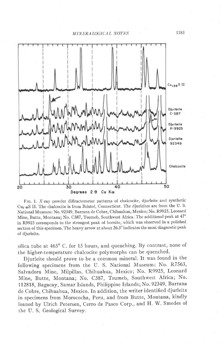

Frc. 1. X-ray powder difiractometer patterns of chalcocite, djurleite and synthetic Cu<sub>1:96</sub>S II. The chalcocite is from Bristol, Connecticut. The djurleites are from the U.S. National Museum: No.92349. Barrana de Cobre, Chihuahua, Mexico; No. R9925, Leonard Mine, Butte, Montana; No. C387, Tsumeb, Southwest Africa. The additional peak at 47° in R9925 corresponds to the strongest peak of bornite, which was observed in a polished section of this specimen. The heavy arrow at about 26.3° indicates the most diagnostic peak of djurleite.

silica tube at  $465^\circ$  C. for 15 hours, and quenching. By contrast, none of the higher-temperature chalcocite polymorphs can be quenched.

Djurleite should prove to be a common mineral. It was found in the following specimens from the U. S. National Museum: No. R7563, Salvadora Mine, Milpillas, Chihuahua, Mexico; No. R9925, Leonard Mine, Butte, Montana; No. C387, Tsumeb, Southwest Africa; No. 112818, Bagacay, Samar Islands, Philippine Islands; No. 92349, Barrana de Cobre, Chihuahua, Mexico. In addition, the writer identified djurleite in specimens from Morococha, Peru, and from Butte, Montana, kindly loaned by Ulrich Petersen, Cerro de Pasco Corp., and H. W. Smedes of the U. S. Geological Survey.